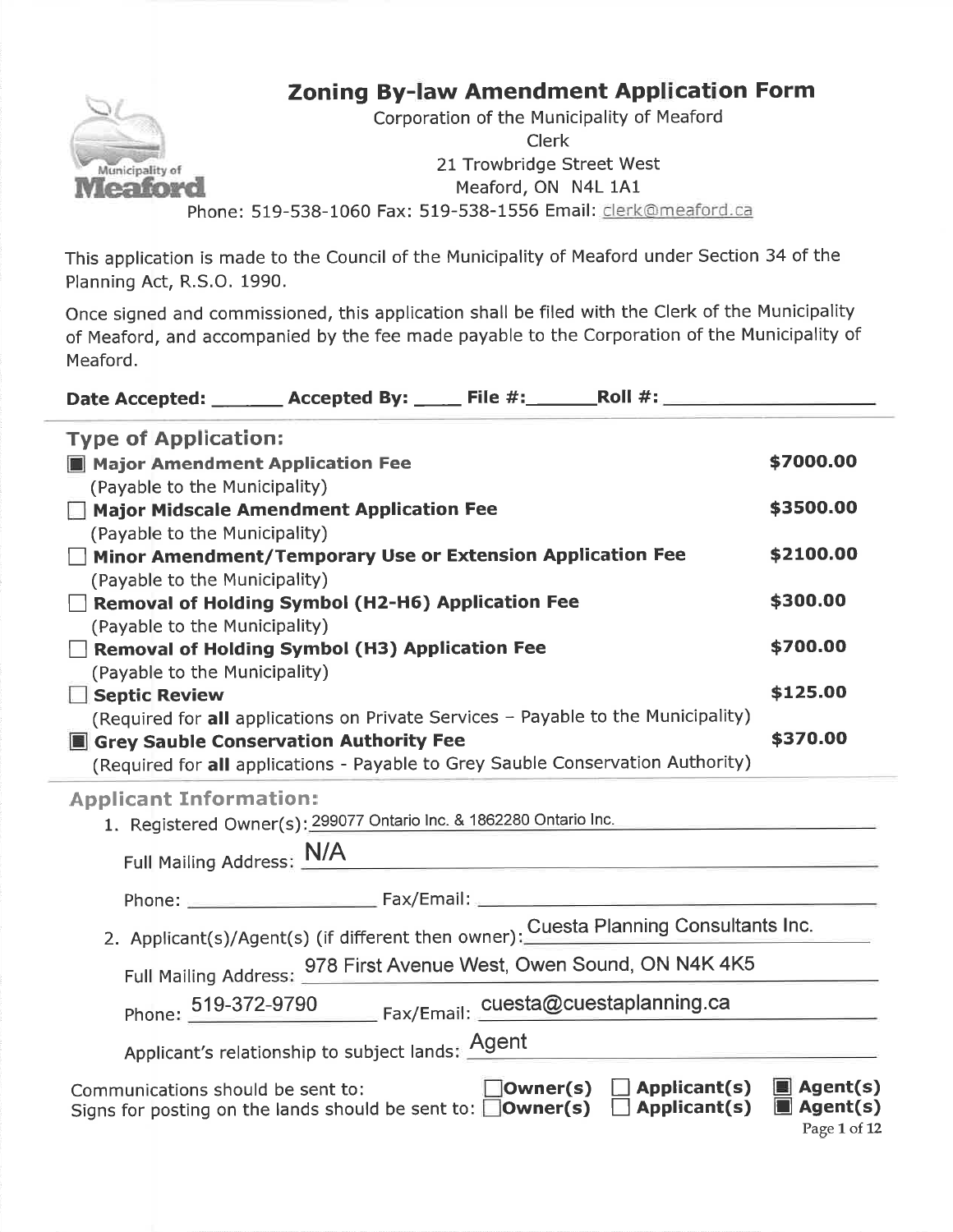# Zoning By-law Amendment Application Form



Corporation of the Municipality of MeafordClerk21 Trowbridge Street West Meaford, ON N4L 1A1Phone: 519-538-1060 Fax: 519-538-1556 Email: clerk@meaford.ca

This application is made to the Council of the Municipality of Meaford under Section 34 of thePlanning Act, R.S.O. 1990.

Once signed and commissioned, this application shall be filed with the Clerk of the Municipality of Meaford, and accompanied by the fee made payable to the Corporation of the Municipality of Meaford.

| Date Accepted: _______ Accepted By: _____ File #: ______ Roll #: _______________                                                    |                                                                                                                                                                                                       |                                      |                                                                    |
|-------------------------------------------------------------------------------------------------------------------------------------|-------------------------------------------------------------------------------------------------------------------------------------------------------------------------------------------------------|--------------------------------------|--------------------------------------------------------------------|
| <b>Type of Application:</b><br>Major Amendment Application Fee                                                                      |                                                                                                                                                                                                       |                                      | \$7000.00                                                          |
| (Payable to the Municipality)<br>Major Midscale Amendment Application Fee                                                           |                                                                                                                                                                                                       |                                      | \$3500.00                                                          |
| (Payable to the Municipality)<br>$\Box$ Minor Amendment/Temporary Use or Extension Application Fee<br>(Payable to the Municipality) |                                                                                                                                                                                                       |                                      | \$2100.00                                                          |
| Removal of Holding Symbol (H2-H6) Application Fee<br>(Payable to the Municipality)                                                  |                                                                                                                                                                                                       |                                      | \$300.00                                                           |
| Removal of Holding Symbol (H3) Application Fee<br>(Payable to the Municipality)                                                     |                                                                                                                                                                                                       |                                      | \$700.00                                                           |
| Septic Review<br>(Required for all applications on Private Services - Payable to the Municipality)                                  |                                                                                                                                                                                                       |                                      | \$125.00                                                           |
| Grey Sauble Conservation Authority Fee<br>(Required for all applications - Payable to Grey Sauble Conservation Authority)           |                                                                                                                                                                                                       |                                      | \$370.00                                                           |
| <b>Applicant Information:</b>                                                                                                       | 1. Registered Owner(s): 299077 Ontario Inc. & 1862280 Ontario Inc.                                                                                                                                    |                                      |                                                                    |
| Full Mailing Address: N/A                                                                                                           |                                                                                                                                                                                                       | <u> 1980 - Jan Barbara (j. 1980)</u> |                                                                    |
|                                                                                                                                     | Phone: 2008 2018 2019 2020 2020 2021 2021 2022 2023 2024 2022 2023 2024 2022 2023 2024 2022 2023 2024 2022 20<br>2. Applicant(s)/Agent(s) (if different then owner): Cuesta Planning Consultants Inc. |                                      |                                                                    |
|                                                                                                                                     | Full Mailing Address: 978 First Avenue West, Owen Sound, ON N4K 4K5                                                                                                                                   |                                      |                                                                    |
|                                                                                                                                     | Phone: 519-372-9790 Fax/Email: cuesta@cuestaplanning.ca                                                                                                                                               |                                      |                                                                    |
|                                                                                                                                     | Applicant's relationship to subject lands: <b>Agent</b>                                                                                                                                               |                                      |                                                                    |
| Communications should be sent to:<br>Signs for posting on the lands should be sent to: $\Box$ Owner(s) $\Box$ Applicant(s)          |                                                                                                                                                                                                       | $\Box$ Owner(s) $\Box$ Applicant(s)  | $\blacksquare$ Agent(s)<br>$\blacksquare$ Agent(s)<br>Page 1 of 12 |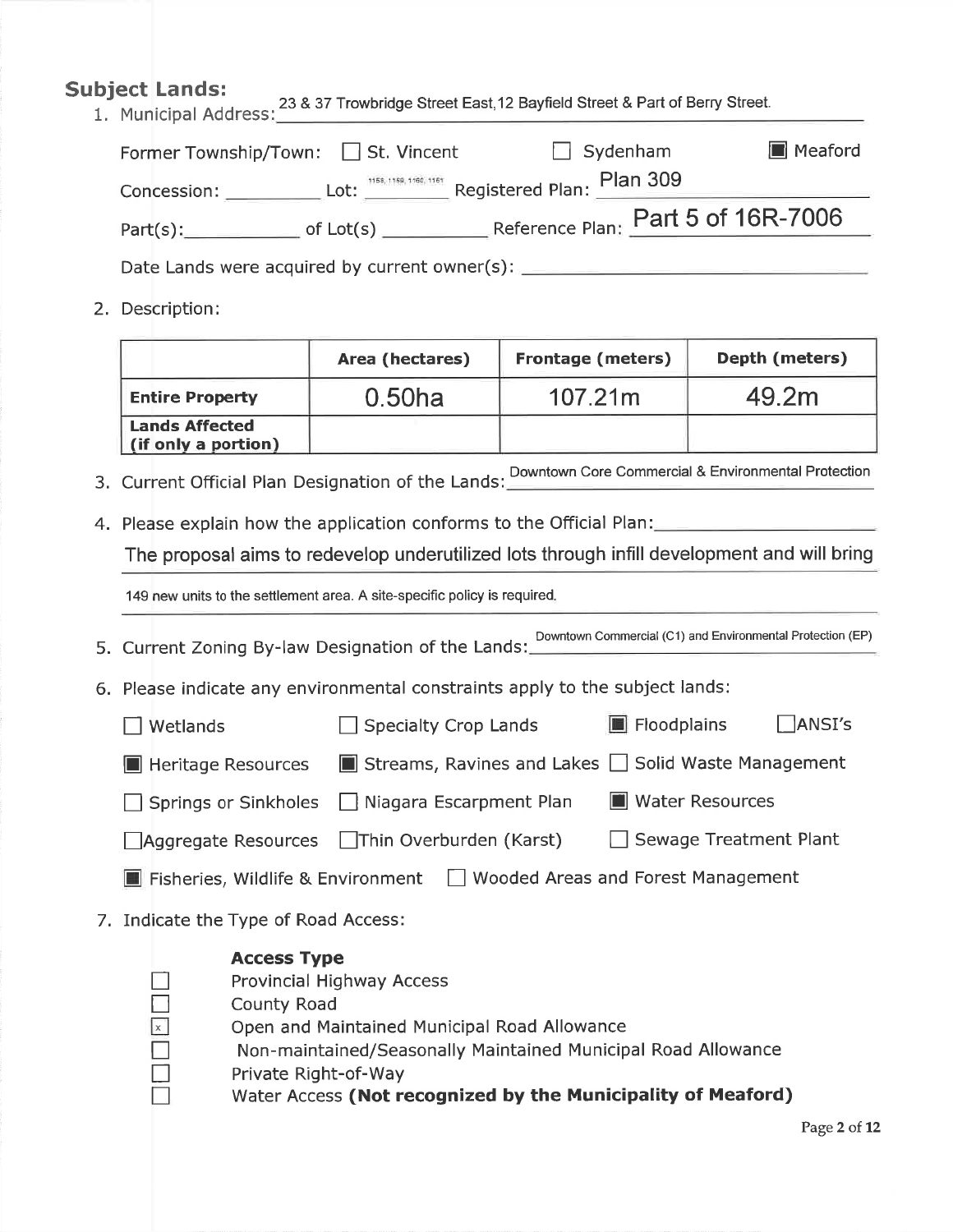## Subject Lands:

 1. Municipal Address:<sup>23</sup>&37 Trowbridge Street East,12 Bayfield Street & Part of Berry Street.

| Former Township/Town: □ St. Vincent |             | $\Box$ Sydenham                                       | Meaford |
|-------------------------------------|-------------|-------------------------------------------------------|---------|
| Concession:                         |             | Lot: 1156, 1169, 1160, 1161 Registered Plan: Plan 309 |         |
| Part(s):                            | of $Lot(s)$ | Reference Plan: Part 5 of 16R-7006                    |         |

Date Lands were acquired by current owner(s):

2. Description:

|                                              | Area (hectares) | <b>Frontage (meters)</b> | Depth (meters) |
|----------------------------------------------|-----------------|--------------------------|----------------|
| <b>Entire Property</b>                       | $0.50$ ha       | 107.21m                  | 49.2m          |
| <b>Lands Affected</b><br>(if only a portion) |                 |                          |                |

- 3. Current Official Plan Designation of the Lands: Downtown Core Commercial & Environmental Protection
- 4. Please explain how the application conforms to the Official Plan:

The proposal aims to redevelop underutilized lots through infill development and will bring

149 new units to the settlement area. A site-specific policy is required

5. Current Zoning By-law Designation of the Lands: Downtown Commercial (C1) and Environmental Protection (EP)

- 6. Please indicate any environmental constraints apply to the subject lands:
	- $\Box$  Wetlands  $\Box$  Specialty Crop Lands  $\Box$  Floodplains  $\Box$  ANSI's **E** Heritage Resources  $\blacksquare$  Streams, Ravines and Lakes  $\square$  Solid Waste Management  $\Box$  Springs or Sinkholes  $\Box$  Niagara Escarpment Plan  $\Box$  Water Resources  $\Box$ Aggregate Resources  $\Box$ Thin Overburden (Karst)  $\Box$  Sewage Treatment Plant **E** Fisheries, Wildlife & Environment  $\Box$  Wooded Areas and Forest Management
- 7. Indicate the Type of Road Access:

#### Access Type

- Provincial Highway Access
- County Road
- Open and Maintained Municipal Road Allowance
	- Non-maintained/Seasonally Maintained Municipal Road Allowance
	- Private Right-of-Way
		- Water Access (Not recognized by the Municipality of Meaford)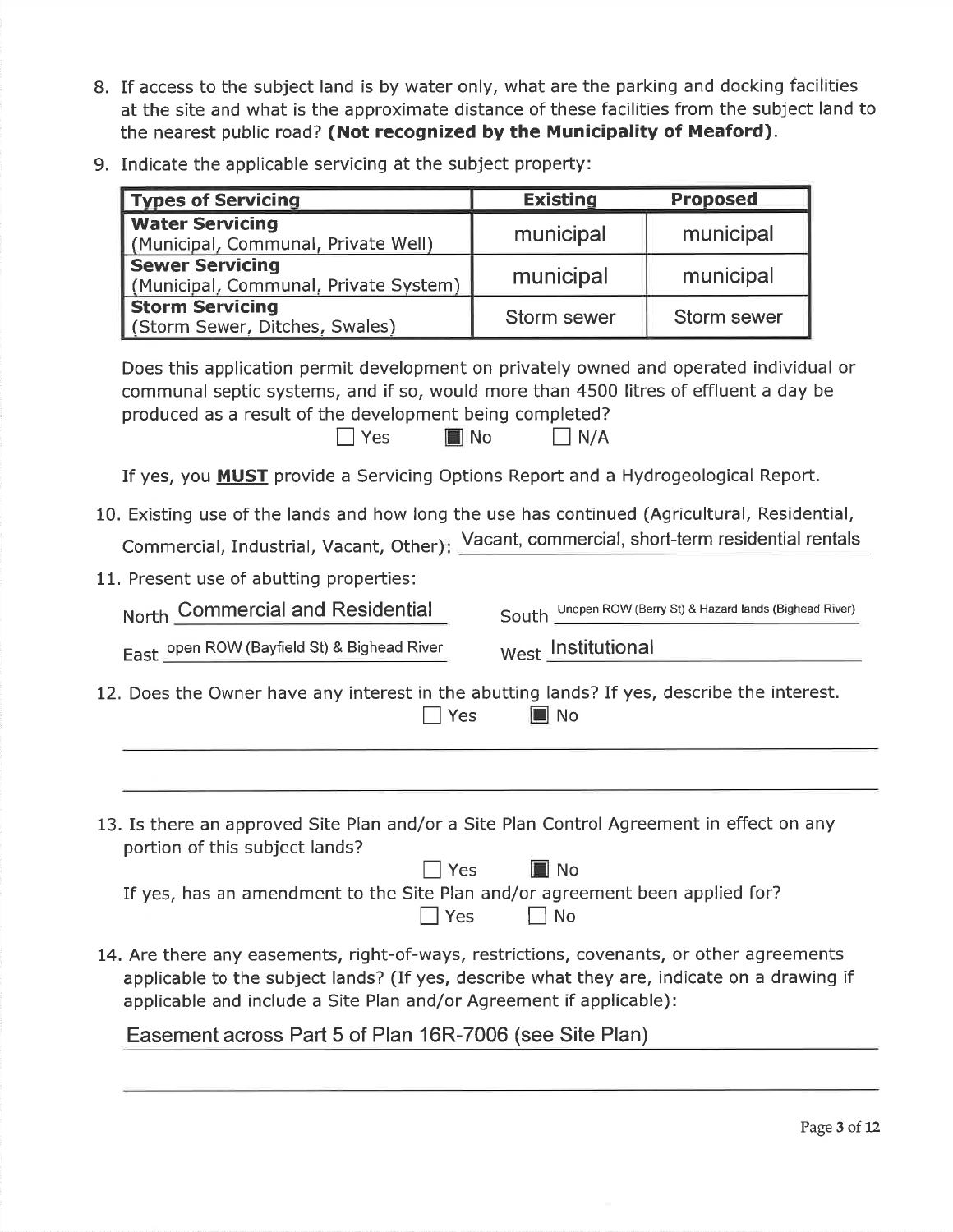- 8. If access to the subject land is by water only, what are the parking and docking facilities at the site and what is the approximate distance of these facilities from the subject land tothe nearest public road? (Not recognized by the Municipality of Meaford).
- 9. Indicate the applicable servicing at the subject property:

| <b>Types of Servicing</b>                                                                                                                                                                                                                                                | <b>Existing</b>                                                                                | <b>Proposed</b> |  |  |
|--------------------------------------------------------------------------------------------------------------------------------------------------------------------------------------------------------------------------------------------------------------------------|------------------------------------------------------------------------------------------------|-----------------|--|--|
| <b>Water Servicing</b><br>(Municipal, Communal, Private Well)                                                                                                                                                                                                            | municipal                                                                                      | municipal       |  |  |
| <b>Sewer Servicing</b><br>(Municipal, Communal, Private System)                                                                                                                                                                                                          | municipal                                                                                      | municipal       |  |  |
| <b>Storm Servicing</b><br>(Storm Sewer, Ditches, Swales)                                                                                                                                                                                                                 | Storm sewer                                                                                    | Storm sewer     |  |  |
| Does this application permit development on privately owned and operated individual or<br>communal septic systems, and if so, would more than 4500 litres of effluent a day be<br>produced as a result of the development being completed?<br>$\blacksquare$ No<br>  Yes | $\big  N/A$                                                                                    |                 |  |  |
| If yes, you <b>MUST</b> provide a Servicing Options Report and a Hydrogeological Report.                                                                                                                                                                                 |                                                                                                |                 |  |  |
| 10. Existing use of the lands and how long the use has continued (Agricultural, Residential,<br>Commercial, Industrial, Vacant, Other): Vacant, commercial, short-term residential rentals<br>11. Present use of abutting properties:                                    |                                                                                                |                 |  |  |
|                                                                                                                                                                                                                                                                          | North Commercial and Residential<br>South Unopen ROW (Berry St) & Hazard lands (Bighead River) |                 |  |  |
|                                                                                                                                                                                                                                                                          | West Institutional<br>East open ROW (Bayfield St) & Bighead River                              |                 |  |  |
| 12. Does the Owner have any interest in the abutting lands? If yes, describe the interest.<br>$\Box$ Yes<br>$\blacksquare$ No                                                                                                                                            |                                                                                                |                 |  |  |
|                                                                                                                                                                                                                                                                          |                                                                                                |                 |  |  |
| 13. Is there an approved Site Plan and/or a Site Plan Control Agreement in effect on any<br>portion of this subject lands?<br>∎l No<br>Yes<br>If yes, has an amendment to the Site Plan and/or agreement been applied for?<br>$\exists$ Yes<br>No                        |                                                                                                |                 |  |  |
| 14. Are there any easements, right-of-ways, restrictions, covenants, or other agreements<br>applicable to the subject lands? (If yes, describe what they are, indicate on a drawing if<br>applicable and include a Site Plan and/or Agreement if applicable):            |                                                                                                |                 |  |  |

Easement across Part 5 of Plan 16R-7006 (see Site Plan)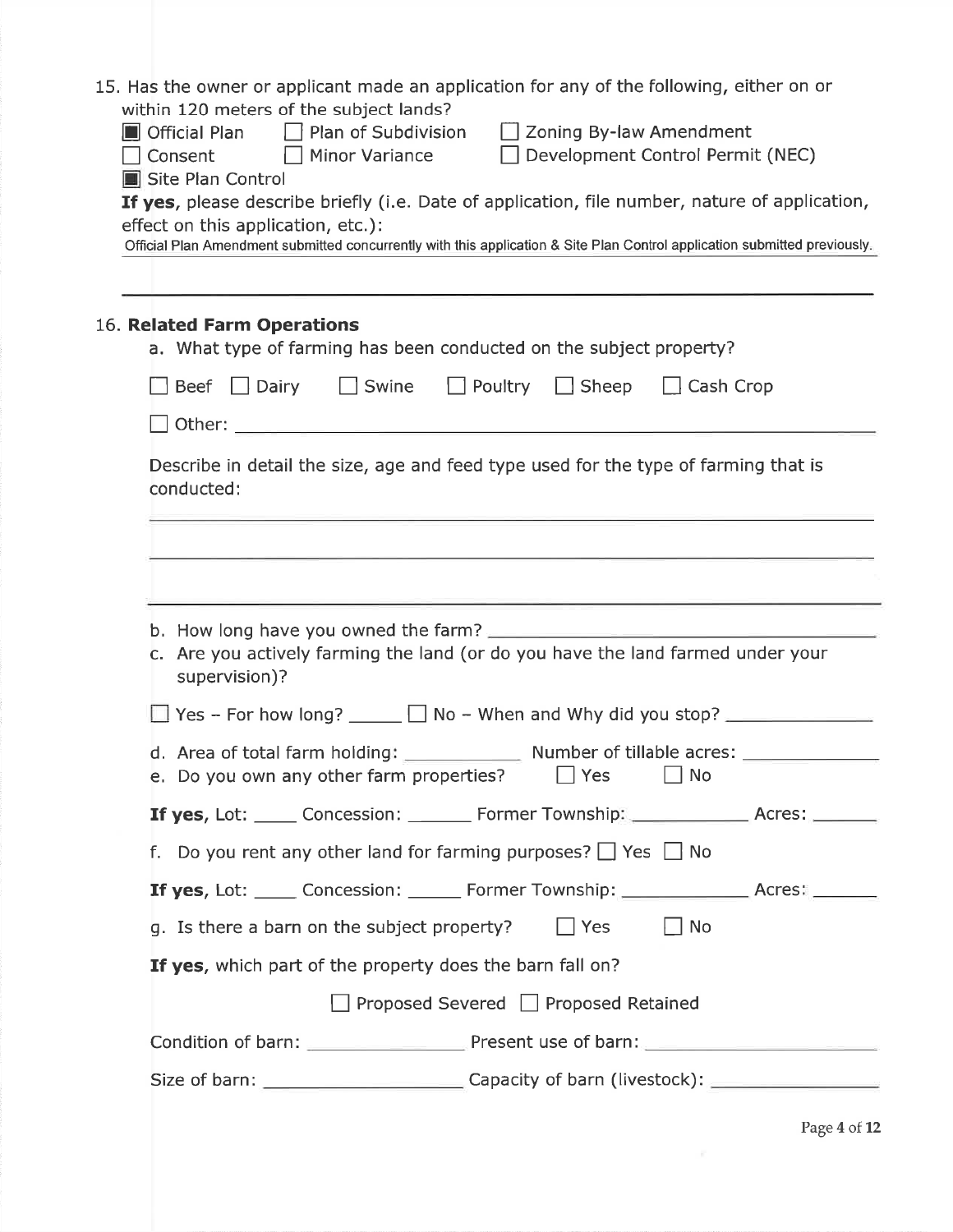| supervision)? |                                                                                                                                                 |                                                                                                                                                                                                                                                                                                                                                                                                                                                                                                                                                                                                                                                                                                                                                                                                                                                                                                                                                                                                                                                                                                                                                                                                                                                                                                                                                                                                        |
|---------------|-------------------------------------------------------------------------------------------------------------------------------------------------|--------------------------------------------------------------------------------------------------------------------------------------------------------------------------------------------------------------------------------------------------------------------------------------------------------------------------------------------------------------------------------------------------------------------------------------------------------------------------------------------------------------------------------------------------------------------------------------------------------------------------------------------------------------------------------------------------------------------------------------------------------------------------------------------------------------------------------------------------------------------------------------------------------------------------------------------------------------------------------------------------------------------------------------------------------------------------------------------------------------------------------------------------------------------------------------------------------------------------------------------------------------------------------------------------------------------------------------------------------------------------------------------------------|
|               |                                                                                                                                                 |                                                                                                                                                                                                                                                                                                                                                                                                                                                                                                                                                                                                                                                                                                                                                                                                                                                                                                                                                                                                                                                                                                                                                                                                                                                                                                                                                                                                        |
|               | $\Box$ No                                                                                                                                       |                                                                                                                                                                                                                                                                                                                                                                                                                                                                                                                                                                                                                                                                                                                                                                                                                                                                                                                                                                                                                                                                                                                                                                                                                                                                                                                                                                                                        |
|               |                                                                                                                                                 |                                                                                                                                                                                                                                                                                                                                                                                                                                                                                                                                                                                                                                                                                                                                                                                                                                                                                                                                                                                                                                                                                                                                                                                                                                                                                                                                                                                                        |
|               |                                                                                                                                                 |                                                                                                                                                                                                                                                                                                                                                                                                                                                                                                                                                                                                                                                                                                                                                                                                                                                                                                                                                                                                                                                                                                                                                                                                                                                                                                                                                                                                        |
|               |                                                                                                                                                 |                                                                                                                                                                                                                                                                                                                                                                                                                                                                                                                                                                                                                                                                                                                                                                                                                                                                                                                                                                                                                                                                                                                                                                                                                                                                                                                                                                                                        |
|               | $\Box$ No<br>$\Box$ Yes                                                                                                                         |                                                                                                                                                                                                                                                                                                                                                                                                                                                                                                                                                                                                                                                                                                                                                                                                                                                                                                                                                                                                                                                                                                                                                                                                                                                                                                                                                                                                        |
|               |                                                                                                                                                 |                                                                                                                                                                                                                                                                                                                                                                                                                                                                                                                                                                                                                                                                                                                                                                                                                                                                                                                                                                                                                                                                                                                                                                                                                                                                                                                                                                                                        |
|               |                                                                                                                                                 |                                                                                                                                                                                                                                                                                                                                                                                                                                                                                                                                                                                                                                                                                                                                                                                                                                                                                                                                                                                                                                                                                                                                                                                                                                                                                                                                                                                                        |
|               |                                                                                                                                                 |                                                                                                                                                                                                                                                                                                                                                                                                                                                                                                                                                                                                                                                                                                                                                                                                                                                                                                                                                                                                                                                                                                                                                                                                                                                                                                                                                                                                        |
|               |                                                                                                                                                 |                                                                                                                                                                                                                                                                                                                                                                                                                                                                                                                                                                                                                                                                                                                                                                                                                                                                                                                                                                                                                                                                                                                                                                                                                                                                                                                                                                                                        |
|               | within 120 meters of the subject lands?<br>Site Plan Control<br>effect on this application, etc.):<br>16. Related Farm Operations<br>conducted: | 15. Has the owner or applicant made an application for any of the following, either on or<br>$\blacksquare$ Official Plan $\blacksquare$ Plan of Subdivision $\blacksquare$ Zoning By-law Amendment<br>Consent Minor Variance Development Control Permit (NEC)<br>If yes, please describe briefly (i.e. Date of application, file number, nature of application,<br>Official Plan Amendment submitted concurrently with this application & Site Plan Control application submitted previously.<br>a. What type of farming has been conducted on the subject property?<br>Beef $\Box$ Dairy $\Box$ Swine $\Box$ Poultry $\Box$ Sheep $\Box$ Cash Crop<br>Describe in detail the size, age and feed type used for the type of farming that is<br>c. Are you actively farming the land (or do you have the land farmed under your<br>d. Area of total farm holding: Number of tillable acres: _______________________<br>e. Do you own any other farm properties? $\Box$ Yes<br><b>If yes, Lot:</b> _____ Concession: _______ Former Township: _____________ Acres: ______<br>f. Do you rent any other land for farming purposes? $\Box$ Yes $\Box$ No<br><b>If yes, Lot:</b> _____ Concession: ______ Former Township: ________________ Acres: _______<br>g. Is there a barn on the subject property?<br>If yes, which part of the property does the barn fall on?<br>Proposed Severed Proposed Retained |

Page 4 of 12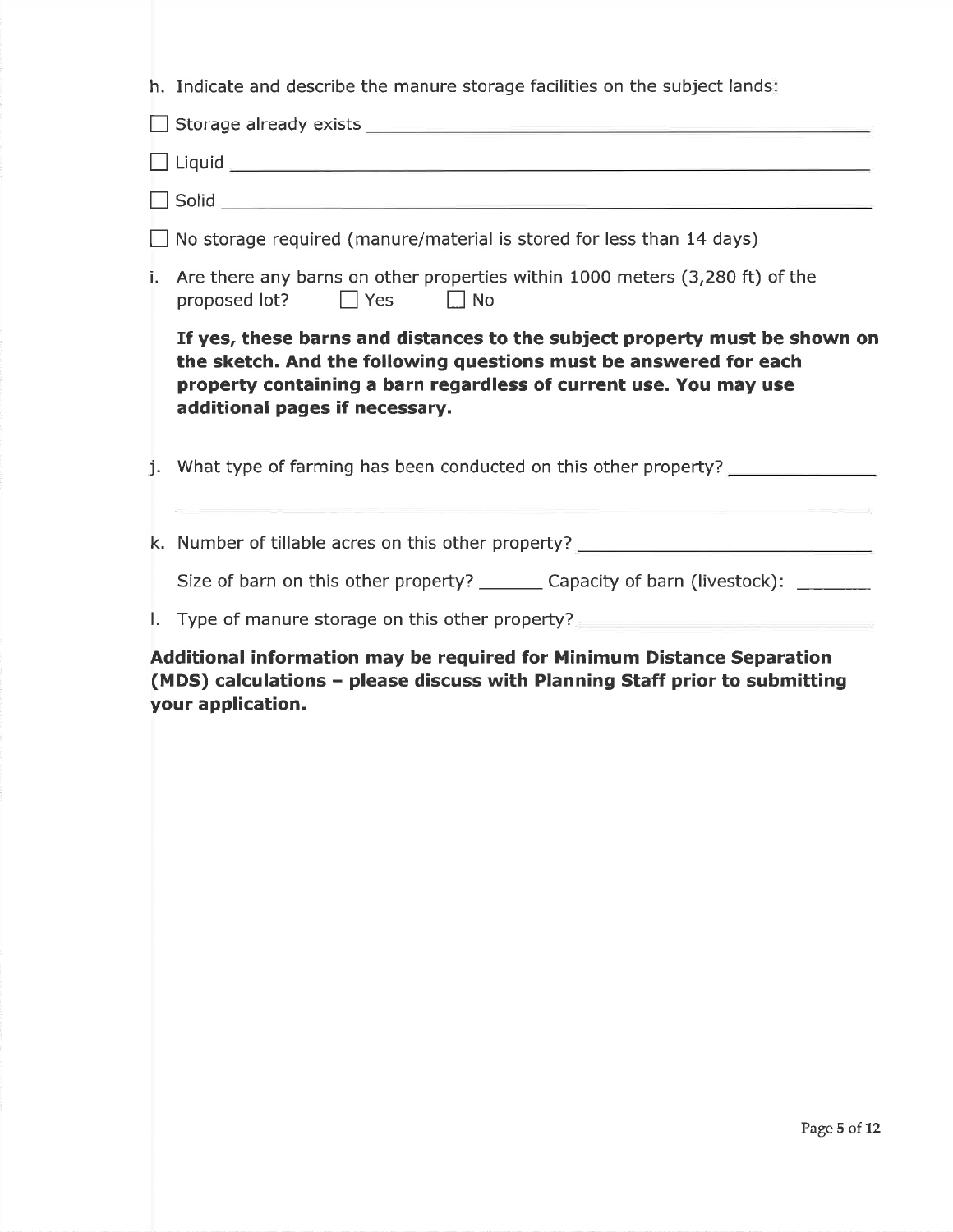|    | h. Indicate and describe the manure storage facilities on the subject lands:                                                                                                                                                                           |
|----|--------------------------------------------------------------------------------------------------------------------------------------------------------------------------------------------------------------------------------------------------------|
|    |                                                                                                                                                                                                                                                        |
|    |                                                                                                                                                                                                                                                        |
|    |                                                                                                                                                                                                                                                        |
|    | $\Box$ No storage required (manure/material is stored for less than 14 days)                                                                                                                                                                           |
| i. | Are there any barns on other properties within 1000 meters (3,280 ft) of the<br>proposed lot? $\Box$ Yes $\Box$ No                                                                                                                                     |
|    | If yes, these barns and distances to the subject property must be shown on<br>the sketch. And the following questions must be answered for each<br>property containing a barn regardless of current use. You may use<br>additional pages if necessary. |
|    | j. What type of farming has been conducted on this other property?                                                                                                                                                                                     |
|    | k. Number of tillable acres on this other property? ____________________________                                                                                                                                                                       |
|    | Size of barn on this other property? ________ Capacity of barn (livestock): ________                                                                                                                                                                   |
|    | I. Type of manure storage on this other property? ______________________________                                                                                                                                                                       |
|    | Additional information may be required for Minimum Distance Separation<br>(MDS) calculations - please discuss with Planning Staff prior to submitting                                                                                                  |

your application.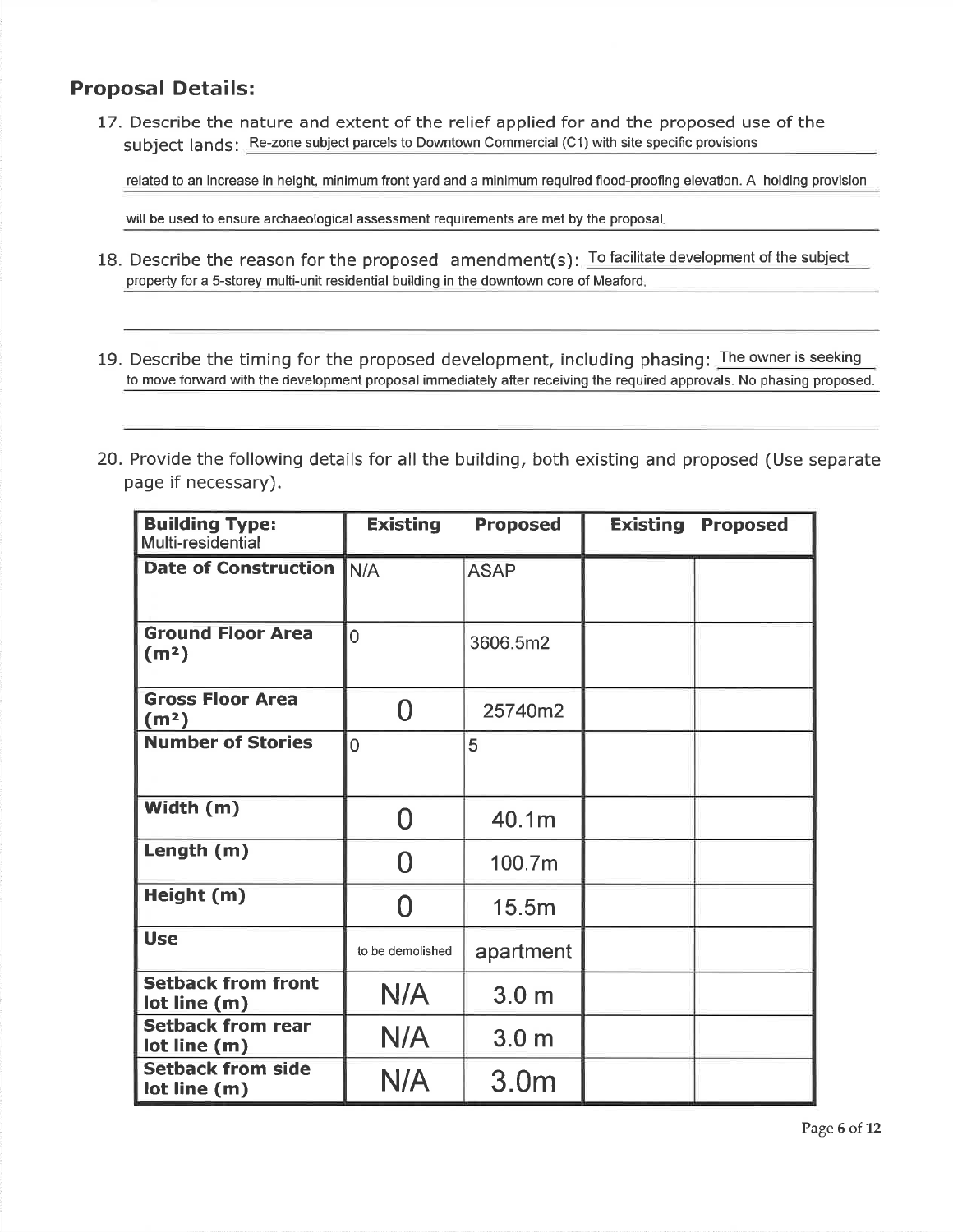### Proposal Details:

17. Describe the nature and extent of the relief applied for and the proposed use of thesubject lands: Re-zone subject parcels to Downtown Commercial (C1) with site specific provisions

related to an increase in height, minimum front yard and a minimum required flood-proofing elevation. A holding provision

will be used to ensure archaeological assessment requirements are met by the proposal.

- 18. Describe the reason for the proposed amendment(s): To facilitate development of the subject property for a 5-storey multi-unit residential building in the downtown core of Meaford.
- 19. Describe the timing for the proposed development, including phasing: <mark>The owner is seeking</mark> to move forward with the development proposal immediately after receiving the required approvals. No phasing proposed.
- 20. Provide the following details for all the building, both existing and proposed (Use separatepage if necessary).

| <b>Building Type:</b><br>Multi-residential    | <b>Existing</b><br><b>Proposed</b> |                  | <b>Existing</b> | <b>Proposed</b> |
|-----------------------------------------------|------------------------------------|------------------|-----------------|-----------------|
| <b>Date of Construction</b>                   | N/A                                | <b>ASAP</b>      |                 |                 |
| <b>Ground Floor Area</b><br>(m <sup>2</sup> ) | $\overline{0}$                     | 3606.5m2         |                 |                 |
| <b>Gross Floor Area</b><br>(m <sup>2</sup> )  | ⋂                                  | 25740m2          |                 |                 |
| <b>Number of Stories</b>                      | $\overline{0}$                     | 5                |                 |                 |
| Width (m)                                     | N                                  | 40.1m            |                 |                 |
| Length (m)                                    | N                                  | 100.7m           |                 |                 |
| Height (m)                                    | ⋂                                  | 15.5m            |                 |                 |
| <b>Use</b>                                    | to be demolished                   | apartment        |                 |                 |
| <b>Setback from front</b><br>lot line (m)     | N/A                                | 3.0 <sub>m</sub> |                 |                 |
| <b>Setback from rear</b><br>lot line (m)      | N/A                                | 3.0 <sub>m</sub> |                 |                 |
| <b>Setback from side</b><br>lot line (m)      | N/A                                | 3.0 <sub>m</sub> |                 |                 |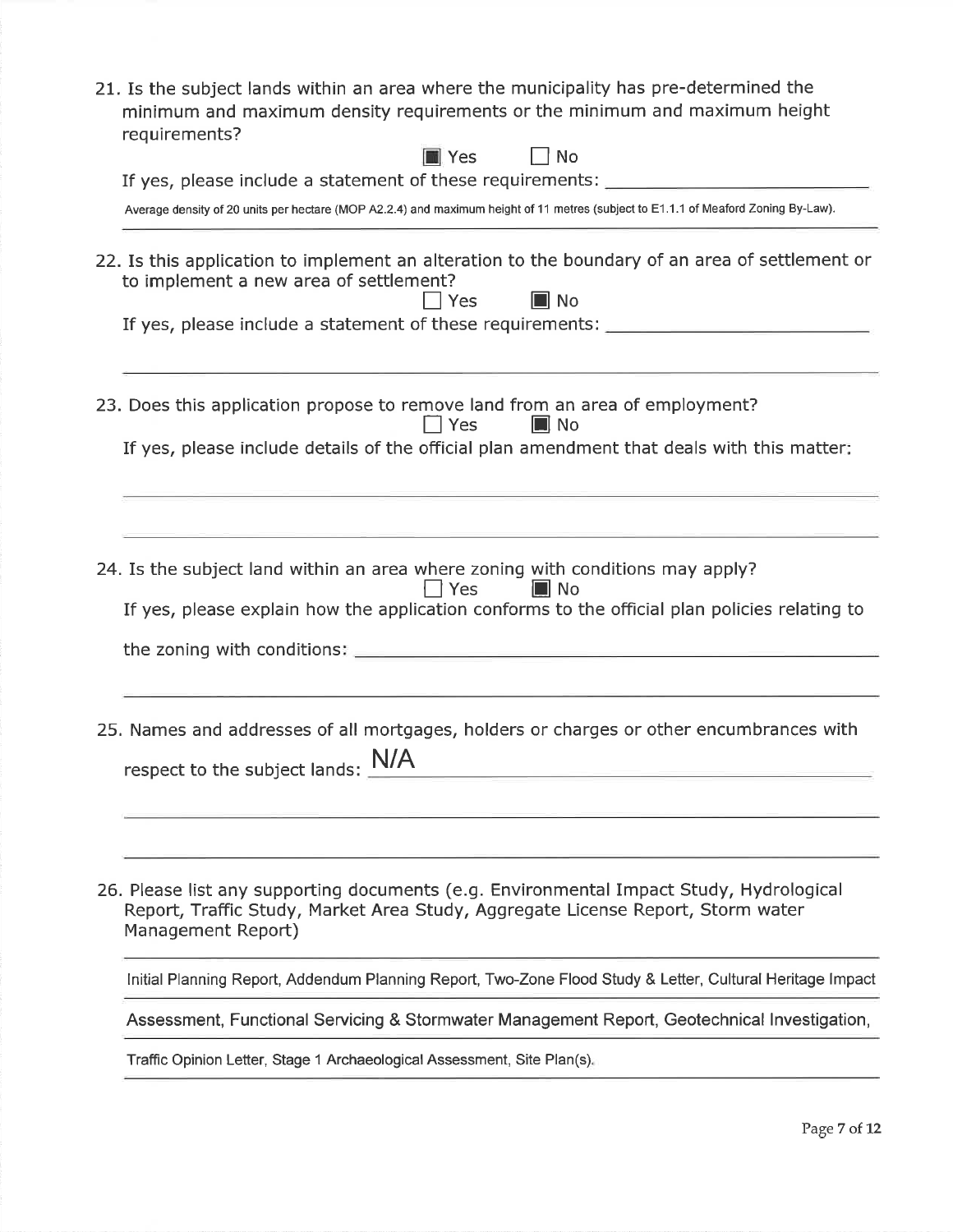| 21. Is the subject lands within an area where the municipality has pre-determined the<br>minimum and maximum density requirements or the minimum and maximum height<br>requirements?<br><b>N</b> Yes<br>No                                                           |
|----------------------------------------------------------------------------------------------------------------------------------------------------------------------------------------------------------------------------------------------------------------------|
| If yes, please include a statement of these requirements: ______________________                                                                                                                                                                                     |
| Average density of 20 units per hectare (MOP A2.2.4) and maximum height of 11 metres (subject to E1.1.1 of Meaford Zoning By-Law).                                                                                                                                   |
| 22. Is this application to implement an alteration to the boundary of an area of settlement or<br>to implement a new area of settlement?<br>$\blacksquare$ No<br>$\sqsupset$ Yes<br>If yes, please include a statement of these requirements: ______________________ |
| 23. Does this application propose to remove land from an area of employment?<br>Yes<br>$\blacksquare$ No<br>If yes, please include details of the official plan amendment that deals with this matter?                                                               |
|                                                                                                                                                                                                                                                                      |
| 24. Is the subject land within an area where zoning with conditions may apply?<br>Yes<br><b>I</b> No<br>If yes, please explain how the application conforms to the official plan policies relating to                                                                |
| 25. Names and addresses of all mortgages, holders or charges or other encumbrances with<br>respect to the subject lands: $\frac{N}{A}$                                                                                                                               |
|                                                                                                                                                                                                                                                                      |
| 26. Please list any supporting documents (e.g. Environmental Impact Study, Hydrological<br>Report, Traffic Study, Market Area Study, Aggregate License Report, Storm water<br>Management Report)                                                                     |
| Initial Planning Report, Addendum Planning Report, Two-Zone Flood Study & Letter, Cultural Heritage Impact                                                                                                                                                           |
| Assessment, Functional Servicing & Stormwater Management Report, Geotechnical Investigation,                                                                                                                                                                         |
| Traffic Opinion Letter, Stage 1 Archaeological Assessment, Site Plan(s).                                                                                                                                                                                             |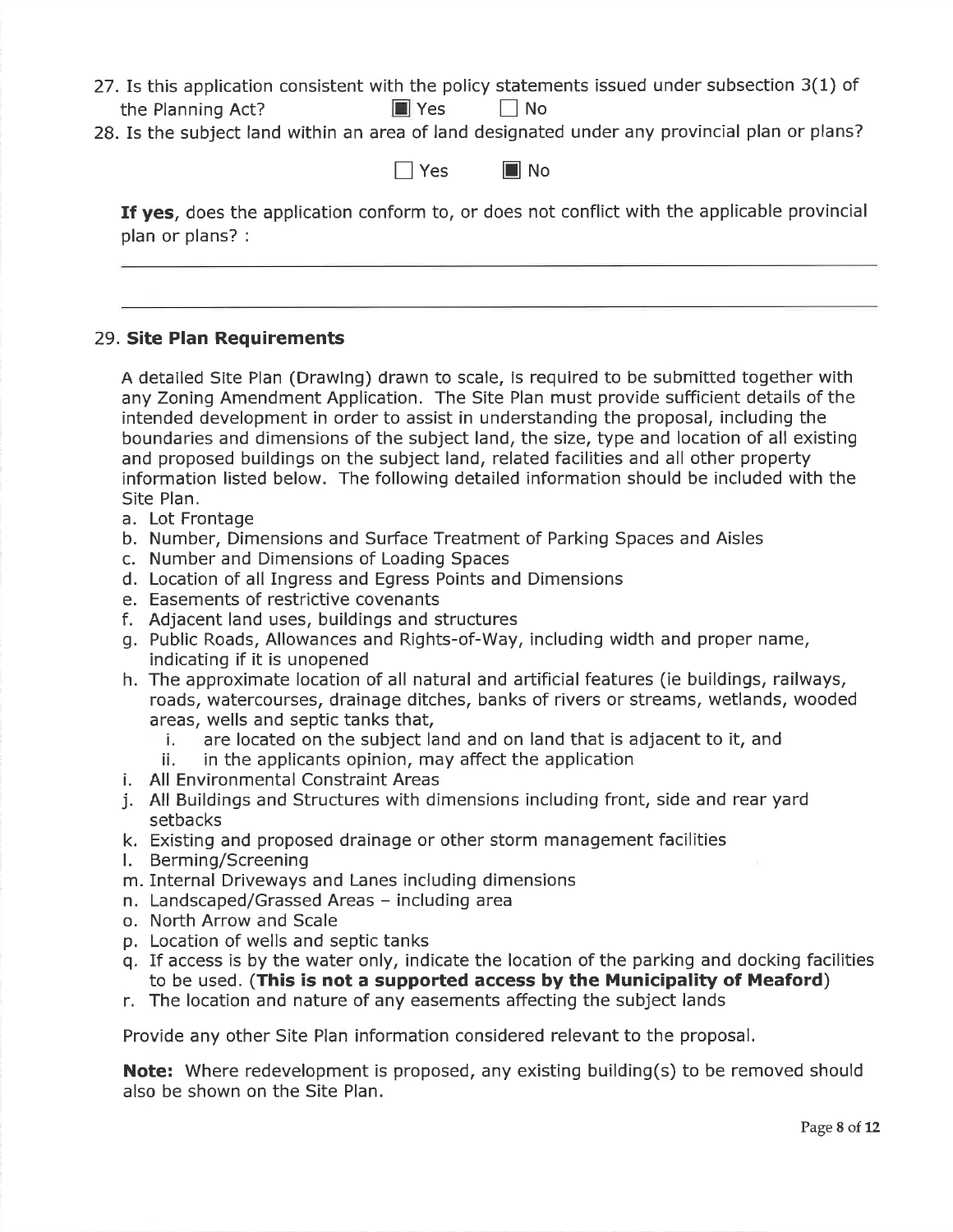- 27.Is this application consistent with the policy statements issued under subsection 3(1) ofthe Planning Act?  $\Box$  Yes  $\Box$  No
- 28. Is the subject land within an area of land designated under any provincial plan or plans?

 $\Box$  Yes  $\Box$  No

If yes, does the application conform to, or does not conflict with the applicable provincial plan or plans? :

#### 29. Site Plan Requirements

A detailed Site Plan (Drawing) drawn to scale, is required to be submitted together with any Zoning Amendment Application. The Site Plan must provide sufficient details of theintended development in order to assist in understanding the proposal, including the boundaries and dimensions of the subject land, the size, type and location of all existingand proposed buildings on the subject land, related facilities and all other property information listed below. The following detailed information should be included with theSite Plan.

- a. Lot Frontage
- b. Number, Dimensions and Surface Treatment of Parking Spaces and Aisles
- c. Number and Dimensions of Loading Spaces
- d. Location of all Ingress and Egress Points and Dimensions
- e. Easements of restrictive covenants
- f. Adjacent land uses, buildings and structures
- g. Public Roads, Allowances and Rights-of-Way, including width and proper name,indicating if it is unopened
- h. The approximate location of all natural and artificial features (ie buildings, railways,roads, watercourses, drainage ditches, banks of rivers or streams, wetlands, wooded areas, wells and septic tanks that,
	- i. are located on the subject land and on land that is adjacent to it, and
	- ii. in the applicants opinion, may affect the application
- i. All Environmental Constraint Areas
- j. All Buildings and Structures with dimensions including front, side and rear yardsetbacks
- k. Existing and proposed drainage or other storm management facilities
- l. Berming/Screening
- m. Internal Driveways and Lanes including dimensions
- n. Landscaped/Grassed Areas including area
- o. North Arrow and Scale
- p. Location of wells and septic tanks
- q. If access is by the water only, indicate the location of the parking and docking facilitiesto be used. (This is not a supported access by the Municipality of Meaford)
- r. The location and nature of any easements affecting the subject lands

Provide any other Site Plan information considered relevant to the proposal.

**Note:** Where redevelopment is proposed, any existing building(s) to be removed should also be shown on the Site Plan.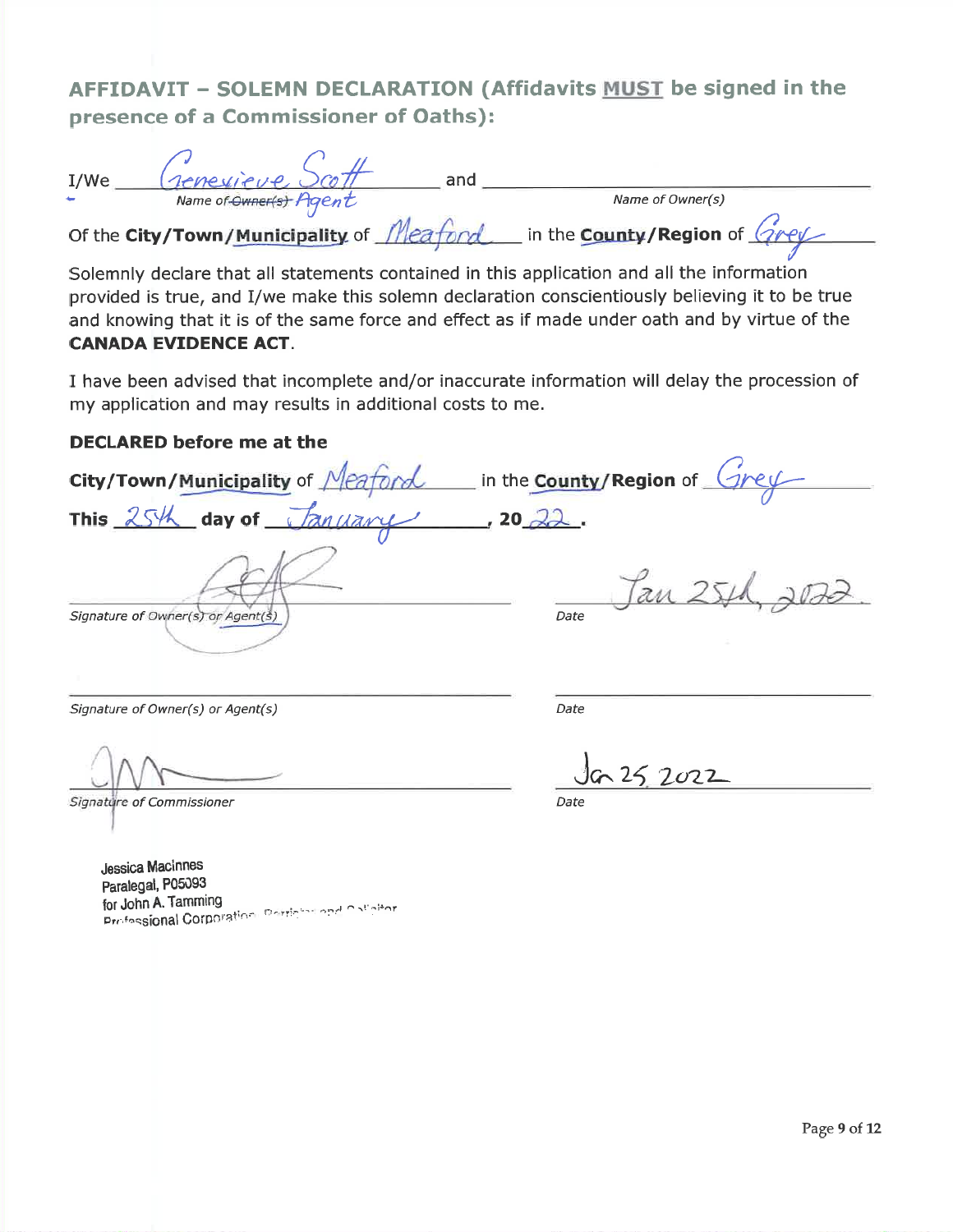# AFFIDAVIT - SOLEMN DECLARATION (Affidavits MUST be signed in thepresence of a Commissioner of Oaths):

| I/We         | reneuieure                               | and |                                                  |
|--------------|------------------------------------------|-----|--------------------------------------------------|
| $\leftarrow$ | Name of Owner(s) Agent                   |     | Name of Owner(s)                                 |
|              | Of the City/Town/Municipality of Meaford |     | In the <b>County/Region</b> of $\sqrt{2\rho eV}$ |

Solemnly declare that all statements contained in this application and all the information provided is true, and I/we make this solemn declaration conscientiously believing it to be true and knowing that it is of the same force and effect as if made under oath and by virtue of theCANADA EVIDENCE ACT.

I have been advised that incomplete and/or inaccurate information will delay the procession ofmy application and may results in additional costs to me.

#### DECLARED before me at the

City/Town/Municipality of  $Meaford$  in the County/Region of  $Greyl$ </u></u>  $\overline{\text{day of }$   $\frac{1}{2}$   $\frac{1}{2}$  , 20  $\overline{22}$ . This  $25/4$  $120 - 22$ . au Signature of Owner(s) or Agent(s) and the set of the Date of Date of Date of the Date

Signature of Owner(s) or Agent(s)

Signature of Commissioner r Date

s) and the contract of the contract of the contract of the contract of the contract of the contract of the contract of the contract of the contract of the contract of the contract of the contract of the contract of the con

 $252022$ 

Jessica MaclnnesParalegal, P05093 for John A. Tamming for John A. Tamming<br>Prefessional Corporation, Printer roce Colligion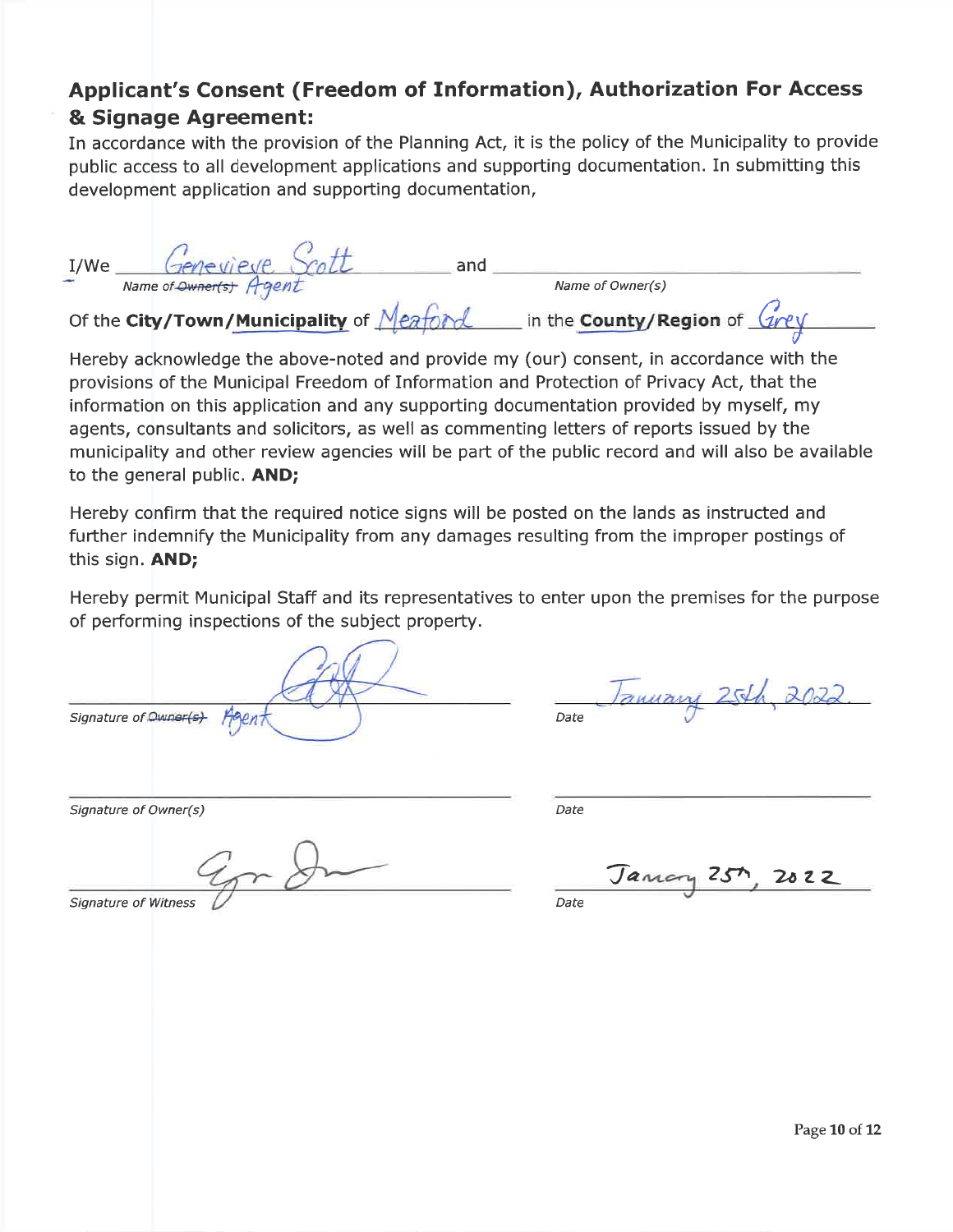## Applicant's Consent (Freedom of Information), Authorization For Access& Signage Agreement;

 In accordance with the provision of the Planning Act, it is the policy of the Municipality to providepublic access to all development applications and supporting documentation. In submitting thisdevelopment application and supporting documentation,

| I/We | Genevieve                                | and |                              |
|------|------------------------------------------|-----|------------------------------|
| ₩    | Name of Owner(s) Agent                   |     | Name of Owner(s)             |
|      | Of the City/Town/Municipality of Meaford |     | in the County/Region of Grey |

 Hereby acknowledge the above-noted and provide my (our) consent, in accordance with theprovisions of the Municipal Freedom of Information and Protection of Privacy Act, that the information on this application and any suppofting documentation provided by myself, my agents, consultants and solicitors, as well as commenting letters of reports issued by themunicipality and other review agencies will be part of the public record and will also be available to the general public. AND;

Hereby confirm that the required notice signs will be posted on the lands as instructed and fufther indemnify the Municipality from any damages resulting from the improper postings ofthis sign. AND;

Hereby permit Municipal Staff and its representatives to enter upon the premises for the purposeof peforming inspections of the subject property.

Signature of Owner(s) Hogent ) Date

anuary 25th, 2022

Signature of Owner(s)

 $Date$ 

Signature of Witness

) Date

Jancry 25th <sup>26</sup>zL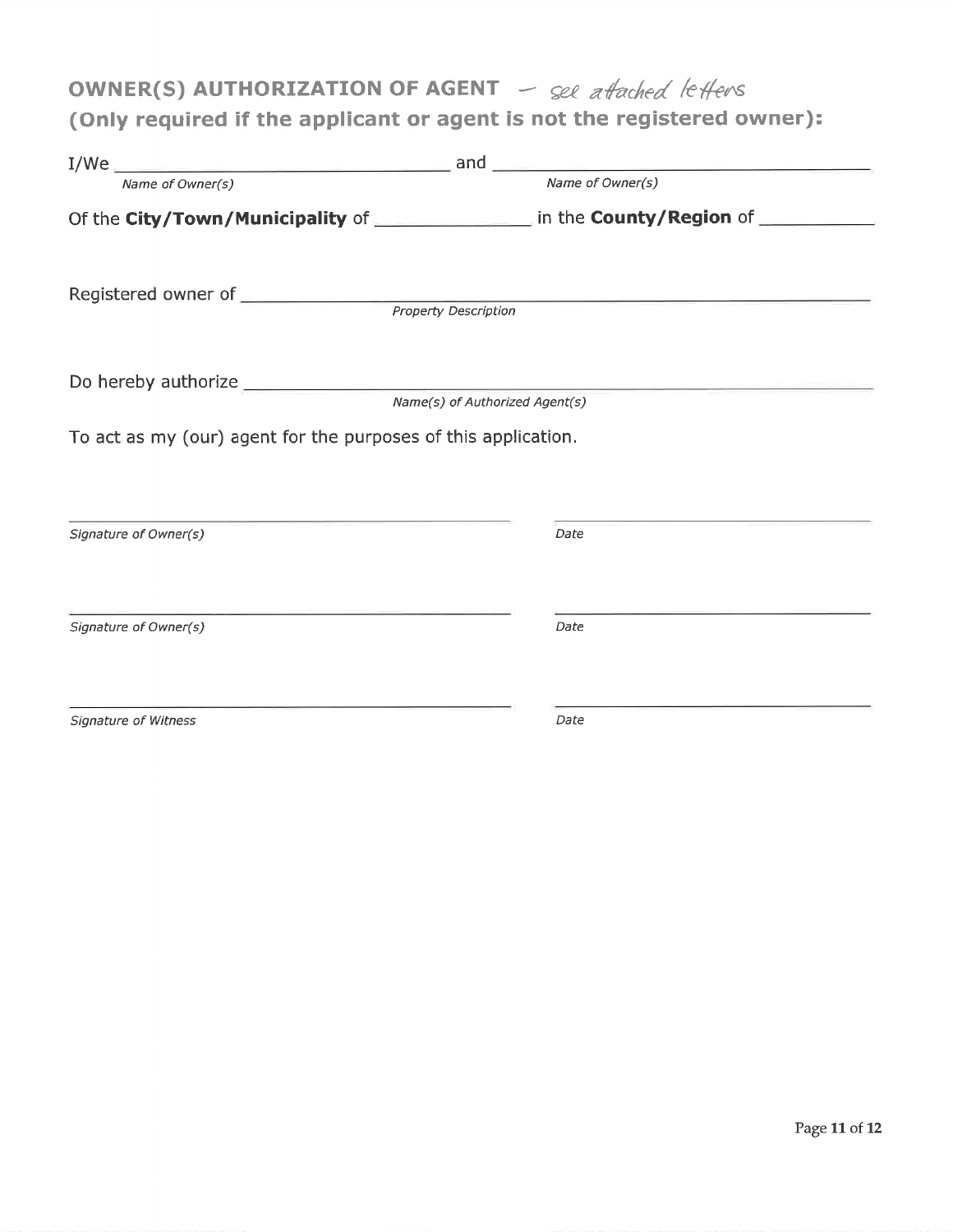# OWNER(S) AUTHORIZATION OF AGENT  $-$  see attached letters

## (Only required if the applicant or agent is not the registered owner)

|                                                                | and<br>the control of the control of the control of the control of the control of    |
|----------------------------------------------------------------|--------------------------------------------------------------------------------------|
| Name of Owner(s)                                               | Name of Owner(s)                                                                     |
|                                                                | Of the City/Town/Municipality of _________________ in the County/Region of _________ |
|                                                                |                                                                                      |
|                                                                |                                                                                      |
|                                                                |                                                                                      |
|                                                                | Name(s) of Authorized Agent(s)                                                       |
| To act as my (our) agent for the purposes of this application. |                                                                                      |
| Signature of Owner(s)                                          | Date                                                                                 |
| Signature of Owner(s)                                          | Date                                                                                 |
| Signature of Witness                                           | Date                                                                                 |